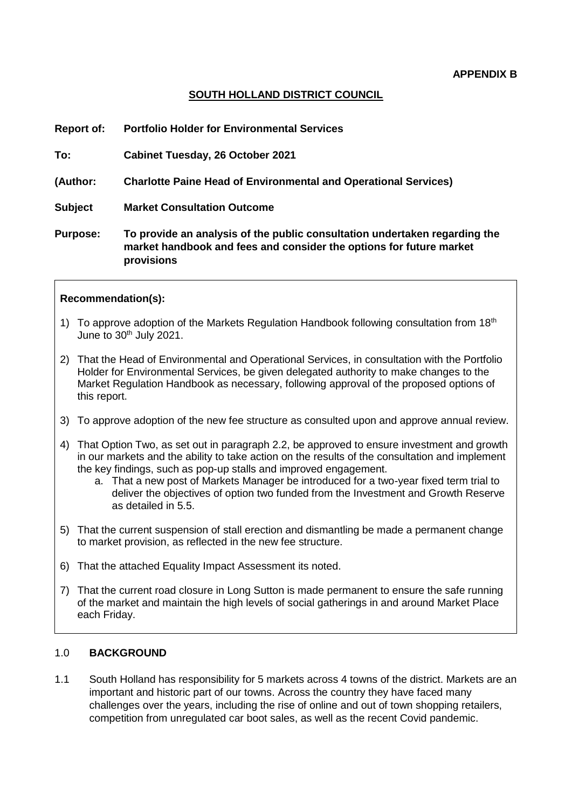# **SOUTH HOLLAND DISTRICT COUNCIL**

| <b>Report of:</b> | <b>Portfolio Holder for Environmental Services</b>                                                                                                              |
|-------------------|-----------------------------------------------------------------------------------------------------------------------------------------------------------------|
| To:               | <b>Cabinet Tuesday, 26 October 2021</b>                                                                                                                         |
| (Author:          | <b>Charlotte Paine Head of Environmental and Operational Services)</b>                                                                                          |
| <b>Subject</b>    | <b>Market Consultation Outcome</b>                                                                                                                              |
| <b>Purpose:</b>   | To provide an analysis of the public consultation undertaken regarding the<br>market handbook and fees and consider the options for future market<br>provisions |

### **Recommendation(s):**

- 1) To approve adoption of the Markets Regulation Handbook following consultation from  $18<sup>th</sup>$ June to  $30<sup>th</sup>$  July 2021.
- 2) That the Head of Environmental and Operational Services, in consultation with the Portfolio Holder for Environmental Services, be given delegated authority to make changes to the Market Regulation Handbook as necessary, following approval of the proposed options of this report.
- 3) To approve adoption of the new fee structure as consulted upon and approve annual review.
- 4) That Option Two, as set out in paragraph 2.2, be approved to ensure investment and growth in our markets and the ability to take action on the results of the consultation and implement the key findings, such as pop-up stalls and improved engagement.
	- a. That a new post of Markets Manager be introduced for a two-year fixed term trial to deliver the objectives of option two funded from the Investment and Growth Reserve as detailed in 5.5.
- 5) That the current suspension of stall erection and dismantling be made a permanent change to market provision, as reflected in the new fee structure.
- 6) That the attached Equality Impact Assessment its noted.
- 7) That the current road closure in Long Sutton is made permanent to ensure the safe running of the market and maintain the high levels of social gatherings in and around Market Place each Friday.

### 1.0 **BACKGROUND**

1.1 South Holland has responsibility for 5 markets across 4 towns of the district. Markets are an important and historic part of our towns. Across the country they have faced many challenges over the years, including the rise of online and out of town shopping retailers, competition from unregulated car boot sales, as well as the recent Covid pandemic.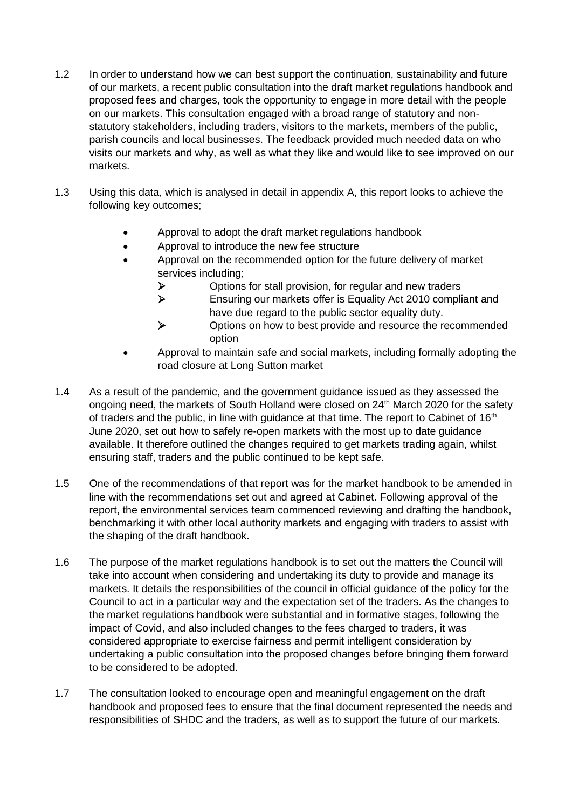- 1.2 In order to understand how we can best support the continuation, sustainability and future of our markets, a recent public consultation into the draft market regulations handbook and proposed fees and charges, took the opportunity to engage in more detail with the people on our markets. This consultation engaged with a broad range of statutory and nonstatutory stakeholders, including traders, visitors to the markets, members of the public, parish councils and local businesses. The feedback provided much needed data on who visits our markets and why, as well as what they like and would like to see improved on our markets.
- 1.3 Using this data, which is analysed in detail in appendix A, this report looks to achieve the following key outcomes;
	- Approval to adopt the draft market regulations handbook
	- Approval to introduce the new fee structure
	- Approval on the recommended option for the future delivery of market services including;
		- ➢ Options for stall provision, for regular and new traders
		- ➢ Ensuring our markets offer is Equality Act 2010 compliant and have due regard to the public sector equality duty.
		- ➢ Options on how to best provide and resource the recommended option
	- Approval to maintain safe and social markets, including formally adopting the road closure at Long Sutton market
- 1.4 As a result of the pandemic, and the government guidance issued as they assessed the ongoing need, the markets of South Holland were closed on 24<sup>th</sup> March 2020 for the safety of traders and the public, in line with quidance at that time. The report to Cabinet of  $16<sup>th</sup>$ June 2020, set out how to safely re-open markets with the most up to date guidance available. It therefore outlined the changes required to get markets trading again, whilst ensuring staff, traders and the public continued to be kept safe.
- 1.5 One of the recommendations of that report was for the market handbook to be amended in line with the recommendations set out and agreed at Cabinet. Following approval of the report, the environmental services team commenced reviewing and drafting the handbook, benchmarking it with other local authority markets and engaging with traders to assist with the shaping of the draft handbook.
- 1.6 The purpose of the market regulations handbook is to set out the matters the Council will take into account when considering and undertaking its duty to provide and manage its markets. It details the responsibilities of the council in official guidance of the policy for the Council to act in a particular way and the expectation set of the traders. As the changes to the market regulations handbook were substantial and in formative stages, following the impact of Covid, and also included changes to the fees charged to traders, it was considered appropriate to exercise fairness and permit intelligent consideration by undertaking a public consultation into the proposed changes before bringing them forward to be considered to be adopted.
- 1.7 The consultation looked to encourage open and meaningful engagement on the draft handbook and proposed fees to ensure that the final document represented the needs and responsibilities of SHDC and the traders, as well as to support the future of our markets.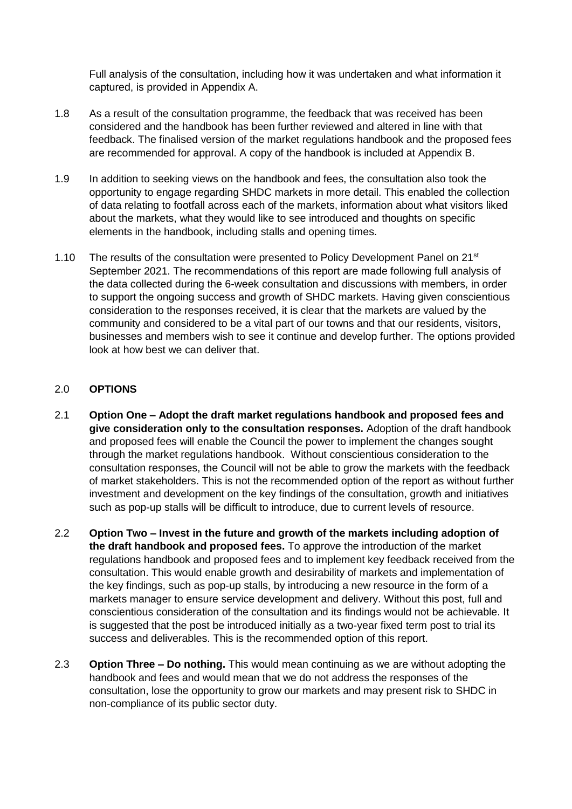Full analysis of the consultation, including how it was undertaken and what information it captured, is provided in Appendix A.

- 1.8 As a result of the consultation programme, the feedback that was received has been considered and the handbook has been further reviewed and altered in line with that feedback. The finalised version of the market regulations handbook and the proposed fees are recommended for approval. A copy of the handbook is included at Appendix B.
- 1.9 In addition to seeking views on the handbook and fees, the consultation also took the opportunity to engage regarding SHDC markets in more detail. This enabled the collection of data relating to footfall across each of the markets, information about what visitors liked about the markets, what they would like to see introduced and thoughts on specific elements in the handbook, including stalls and opening times.
- 1.10 The results of the consultation were presented to Policy Development Panel on 21<sup>st</sup> September 2021. The recommendations of this report are made following full analysis of the data collected during the 6-week consultation and discussions with members, in order to support the ongoing success and growth of SHDC markets. Having given conscientious consideration to the responses received, it is clear that the markets are valued by the community and considered to be a vital part of our towns and that our residents, visitors, businesses and members wish to see it continue and develop further. The options provided look at how best we can deliver that.

## 2.0 **OPTIONS**

- 2.1 **Option One – Adopt the draft market regulations handbook and proposed fees and give consideration only to the consultation responses.** Adoption of the draft handbook and proposed fees will enable the Council the power to implement the changes sought through the market regulations handbook. Without conscientious consideration to the consultation responses, the Council will not be able to grow the markets with the feedback of market stakeholders. This is not the recommended option of the report as without further investment and development on the key findings of the consultation, growth and initiatives such as pop-up stalls will be difficult to introduce, due to current levels of resource.
- 2.2 **Option Two – Invest in the future and growth of the markets including adoption of the draft handbook and proposed fees.** To approve the introduction of the market regulations handbook and proposed fees and to implement key feedback received from the consultation. This would enable growth and desirability of markets and implementation of the key findings, such as pop-up stalls, by introducing a new resource in the form of a markets manager to ensure service development and delivery. Without this post, full and conscientious consideration of the consultation and its findings would not be achievable. It is suggested that the post be introduced initially as a two-year fixed term post to trial its success and deliverables. This is the recommended option of this report.
- 2.3 **Option Three – Do nothing.** This would mean continuing as we are without adopting the handbook and fees and would mean that we do not address the responses of the consultation, lose the opportunity to grow our markets and may present risk to SHDC in non-compliance of its public sector duty.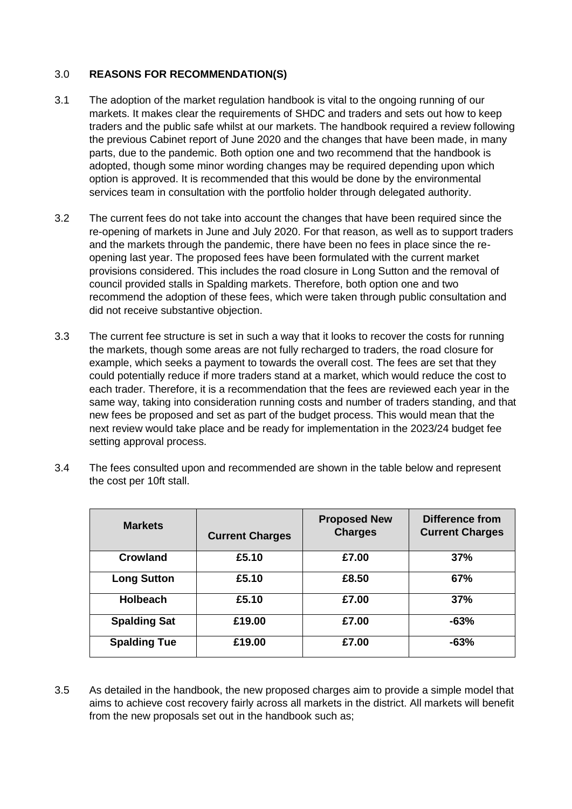# 3.0 **REASONS FOR RECOMMENDATION(S)**

- 3.1 The adoption of the market regulation handbook is vital to the ongoing running of our markets. It makes clear the requirements of SHDC and traders and sets out how to keep traders and the public safe whilst at our markets. The handbook required a review following the previous Cabinet report of June 2020 and the changes that have been made, in many parts, due to the pandemic. Both option one and two recommend that the handbook is adopted, though some minor wording changes may be required depending upon which option is approved. It is recommended that this would be done by the environmental services team in consultation with the portfolio holder through delegated authority.
- 3.2 The current fees do not take into account the changes that have been required since the re-opening of markets in June and July 2020. For that reason, as well as to support traders and the markets through the pandemic, there have been no fees in place since the reopening last year. The proposed fees have been formulated with the current market provisions considered. This includes the road closure in Long Sutton and the removal of council provided stalls in Spalding markets. Therefore, both option one and two recommend the adoption of these fees, which were taken through public consultation and did not receive substantive objection.
- 3.3 The current fee structure is set in such a way that it looks to recover the costs for running the markets, though some areas are not fully recharged to traders, the road closure for example, which seeks a payment to towards the overall cost. The fees are set that they could potentially reduce if more traders stand at a market, which would reduce the cost to each trader. Therefore, it is a recommendation that the fees are reviewed each year in the same way, taking into consideration running costs and number of traders standing, and that new fees be proposed and set as part of the budget process. This would mean that the next review would take place and be ready for implementation in the 2023/24 budget fee setting approval process.

| 3.4 | The fees consulted upon and recommended are shown in the table below and represent |
|-----|------------------------------------------------------------------------------------|
|     | the cost per 10ft stall.                                                           |

| <b>Markets</b>      | <b>Current Charges</b> | <b>Proposed New</b><br><b>Charges</b> | Difference from<br><b>Current Charges</b> |
|---------------------|------------------------|---------------------------------------|-------------------------------------------|
| <b>Crowland</b>     | £5.10                  | £7.00                                 | 37%                                       |
| <b>Long Sutton</b>  | £5.10                  | £8.50                                 | 67%                                       |
| <b>Holbeach</b>     | £5.10                  | £7.00                                 | 37%                                       |
| <b>Spalding Sat</b> | £19.00                 | £7.00                                 | $-63%$                                    |
| <b>Spalding Tue</b> | £19.00                 | £7.00                                 | $-63%$                                    |

3.5 As detailed in the handbook, the new proposed charges aim to provide a simple model that aims to achieve cost recovery fairly across all markets in the district. All markets will benefit from the new proposals set out in the handbook such as;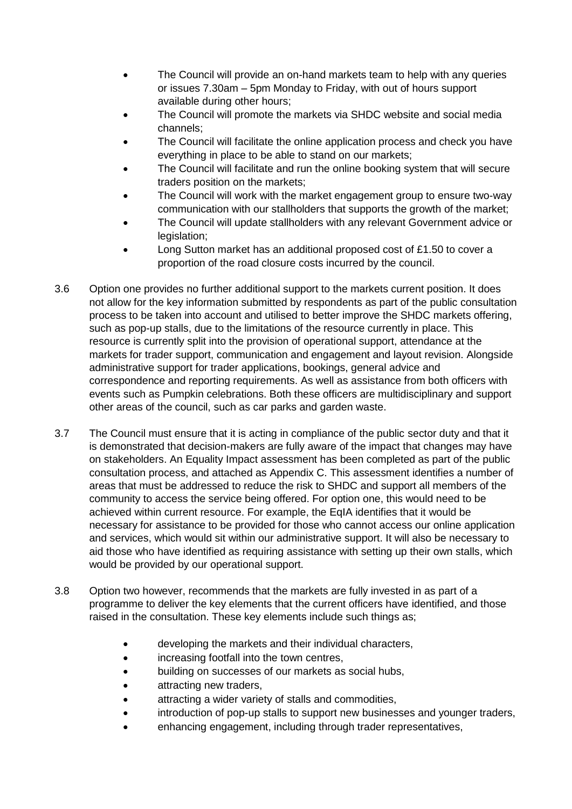- The Council will provide an on-hand markets team to help with any queries or issues 7.30am – 5pm Monday to Friday, with out of hours support available during other hours;
- The Council will promote the markets via SHDC website and social media channels;
- The Council will facilitate the online application process and check you have everything in place to be able to stand on our markets;
- The Council will facilitate and run the online booking system that will secure traders position on the markets;
- The Council will work with the market engagement group to ensure two-way communication with our stallholders that supports the growth of the market;
- The Council will update stallholders with any relevant Government advice or legislation;
- Long Sutton market has an additional proposed cost of £1.50 to cover a proportion of the road closure costs incurred by the council.
- 3.6 Option one provides no further additional support to the markets current position. It does not allow for the key information submitted by respondents as part of the public consultation process to be taken into account and utilised to better improve the SHDC markets offering, such as pop-up stalls, due to the limitations of the resource currently in place. This resource is currently split into the provision of operational support, attendance at the markets for trader support, communication and engagement and layout revision. Alongside administrative support for trader applications, bookings, general advice and correspondence and reporting requirements. As well as assistance from both officers with events such as Pumpkin celebrations. Both these officers are multidisciplinary and support other areas of the council, such as car parks and garden waste.
- 3.7 The Council must ensure that it is acting in compliance of the public sector duty and that it is demonstrated that decision-makers are fully aware of the impact that changes may have on stakeholders. An Equality Impact assessment has been completed as part of the public consultation process, and attached as Appendix C. This assessment identifies a number of areas that must be addressed to reduce the risk to SHDC and support all members of the community to access the service being offered. For option one, this would need to be achieved within current resource. For example, the EqIA identifies that it would be necessary for assistance to be provided for those who cannot access our online application and services, which would sit within our administrative support. It will also be necessary to aid those who have identified as requiring assistance with setting up their own stalls, which would be provided by our operational support.
- 3.8 Option two however, recommends that the markets are fully invested in as part of a programme to deliver the key elements that the current officers have identified, and those raised in the consultation. These key elements include such things as;
	- developing the markets and their individual characters,
	- increasing footfall into the town centres,
	- building on successes of our markets as social hubs,
	- attracting new traders,
	- attracting a wider variety of stalls and commodities,
	- introduction of pop-up stalls to support new businesses and younger traders,
	- enhancing engagement, including through trader representatives,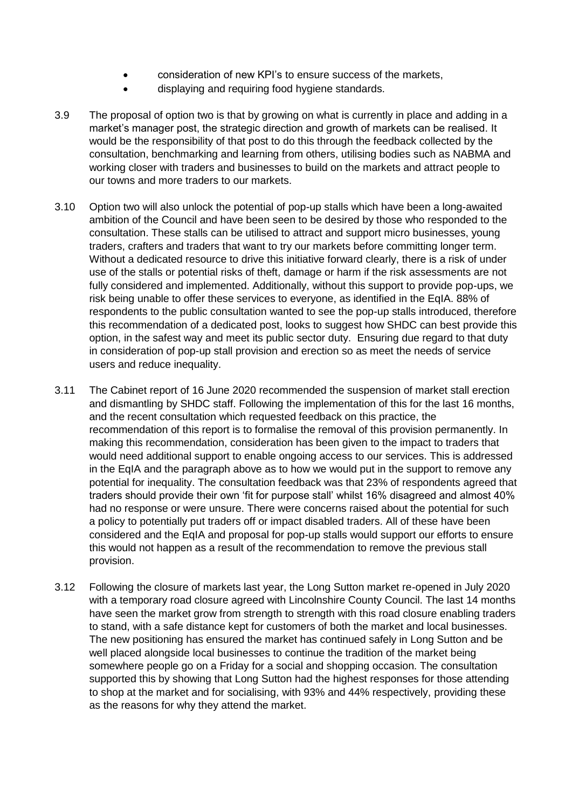- consideration of new KPI's to ensure success of the markets,
- displaying and requiring food hygiene standards.
- 3.9 The proposal of option two is that by growing on what is currently in place and adding in a market's manager post, the strategic direction and growth of markets can be realised. It would be the responsibility of that post to do this through the feedback collected by the consultation, benchmarking and learning from others, utilising bodies such as NABMA and working closer with traders and businesses to build on the markets and attract people to our towns and more traders to our markets.
- 3.10 Option two will also unlock the potential of pop-up stalls which have been a long-awaited ambition of the Council and have been seen to be desired by those who responded to the consultation. These stalls can be utilised to attract and support micro businesses, young traders, crafters and traders that want to try our markets before committing longer term. Without a dedicated resource to drive this initiative forward clearly, there is a risk of under use of the stalls or potential risks of theft, damage or harm if the risk assessments are not fully considered and implemented. Additionally, without this support to provide pop-ups, we risk being unable to offer these services to everyone, as identified in the EqIA. 88% of respondents to the public consultation wanted to see the pop-up stalls introduced, therefore this recommendation of a dedicated post, looks to suggest how SHDC can best provide this option, in the safest way and meet its public sector duty. Ensuring due regard to that duty in consideration of pop-up stall provision and erection so as meet the needs of service users and reduce inequality.
- 3.11 The Cabinet report of 16 June 2020 recommended the suspension of market stall erection and dismantling by SHDC staff. Following the implementation of this for the last 16 months, and the recent consultation which requested feedback on this practice, the recommendation of this report is to formalise the removal of this provision permanently. In making this recommendation, consideration has been given to the impact to traders that would need additional support to enable ongoing access to our services. This is addressed in the EqIA and the paragraph above as to how we would put in the support to remove any potential for inequality. The consultation feedback was that 23% of respondents agreed that traders should provide their own 'fit for purpose stall' whilst 16% disagreed and almost 40% had no response or were unsure. There were concerns raised about the potential for such a policy to potentially put traders off or impact disabled traders. All of these have been considered and the EqIA and proposal for pop-up stalls would support our efforts to ensure this would not happen as a result of the recommendation to remove the previous stall provision.
- 3.12 Following the closure of markets last year, the Long Sutton market re-opened in July 2020 with a temporary road closure agreed with Lincolnshire County Council. The last 14 months have seen the market grow from strength to strength with this road closure enabling traders to stand, with a safe distance kept for customers of both the market and local businesses. The new positioning has ensured the market has continued safely in Long Sutton and be well placed alongside local businesses to continue the tradition of the market being somewhere people go on a Friday for a social and shopping occasion. The consultation supported this by showing that Long Sutton had the highest responses for those attending to shop at the market and for socialising, with 93% and 44% respectively, providing these as the reasons for why they attend the market.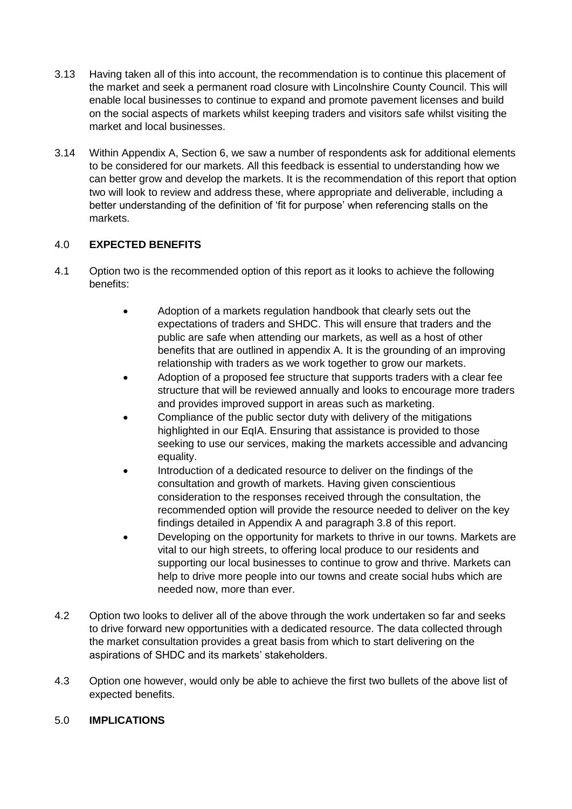- 3.13 Having taken all of this into account, the recommendation is to continue this placement of the market and seek a permanent road closure with Lincolnshire County Council. This will enable local businesses to continue to expand and promote pavement licenses and build on the social aspects of markets whilst keeping traders and visitors safe whilst visiting the market and local businesses.
- 3.14 Within Appendix A, Section 6, we saw a number of respondents ask for additional elements to be considered for our markets. All this feedback is essential to understanding how we can better grow and develop the markets. It is the recommendation of this report that option two will look to review and address these, where appropriate and deliverable, including a better understanding of the definition of 'fit for purpose' when referencing stalls on the markets.

# 4.0 **EXPECTED BENEFITS**

- 4.1 Option two is the recommended option of this report as it looks to achieve the following benefits:
	- Adoption of a markets regulation handbook that clearly sets out the expectations of traders and SHDC. This will ensure that traders and the public are safe when attending our markets, as well as a host of other benefits that are outlined in appendix A. It is the grounding of an improving relationship with traders as we work together to grow our markets.
	- Adoption of a proposed fee structure that supports traders with a clear fee structure that will be reviewed annually and looks to encourage more traders and provides improved support in areas such as marketing.
	- Compliance of the public sector duty with delivery of the mitigations highlighted in our EqIA. Ensuring that assistance is provided to those seeking to use our services, making the markets accessible and advancing equality.
	- Introduction of a dedicated resource to deliver on the findings of the consultation and growth of markets. Having given conscientious consideration to the responses received through the consultation, the recommended option will provide the resource needed to deliver on the key findings detailed in Appendix A and paragraph 3.8 of this report.
	- Developing on the opportunity for markets to thrive in our towns. Markets are vital to our high streets, to offering local produce to our residents and supporting our local businesses to continue to grow and thrive. Markets can help to drive more people into our towns and create social hubs which are needed now, more than ever.
- 4.2 Option two looks to deliver all of the above through the work undertaken so far and seeks to drive forward new opportunities with a dedicated resource. The data collected through the market consultation provides a great basis from which to start delivering on the aspirations of SHDC and its markets' stakeholders.
- 4.3 Option one however, would only be able to achieve the first two bullets of the above list of expected benefits.

## 5.0 **IMPLICATIONS**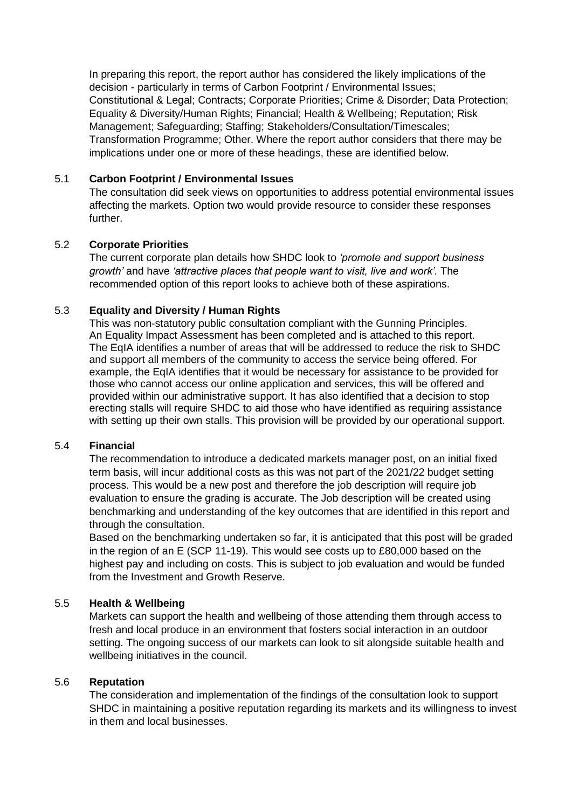In preparing this report, the report author has considered the likely implications of the decision - particularly in terms of Carbon Footprint / Environmental Issues; Constitutional & Legal; Contracts; Corporate Priorities; Crime & Disorder; Data Protection; Equality & Diversity/Human Rights; Financial; Health & Wellbeing; Reputation; Risk Management; Safeguarding; Staffing; Stakeholders/Consultation/Timescales; Transformation Programme; Other. Where the report author considers that there may be implications under one or more of these headings, these are identified below.

## 5.1 **Carbon Footprint / Environmental Issues**

The consultation did seek views on opportunities to address potential environmental issues affecting the markets. Option two would provide resource to consider these responses further.

### 5.2 **Corporate Priorities**

The current corporate plan details how SHDC look to *'promote and support business growth'* and have *'attractive places that people want to visit, live and work'.* The recommended option of this report looks to achieve both of these aspirations.

### 5.3 **Equality and Diversity / Human Rights**

This was non-statutory public consultation compliant with the Gunning Principles. An Equality Impact Assessment has been completed and is attached to this report. The EqIA identifies a number of areas that will be addressed to reduce the risk to SHDC and support all members of the community to access the service being offered. For example, the EqIA identifies that it would be necessary for assistance to be provided for those who cannot access our online application and services, this will be offered and provided within our administrative support. It has also identified that a decision to stop erecting stalls will require SHDC to aid those who have identified as requiring assistance with setting up their own stalls. This provision will be provided by our operational support.

#### 5.4 **Financial**

The recommendation to introduce a dedicated markets manager post, on an initial fixed term basis, will incur additional costs as this was not part of the 2021/22 budget setting process. This would be a new post and therefore the job description will require job evaluation to ensure the grading is accurate. The Job description will be created using benchmarking and understanding of the key outcomes that are identified in this report and through the consultation.

Based on the benchmarking undertaken so far, it is anticipated that this post will be graded in the region of an E (SCP 11-19). This would see costs up to £80,000 based on the highest pay and including on costs. This is subject to job evaluation and would be funded from the Investment and Growth Reserve.

#### 5.5 **Health & Wellbeing**

Markets can support the health and wellbeing of those attending them through access to fresh and local produce in an environment that fosters social interaction in an outdoor setting. The ongoing success of our markets can look to sit alongside suitable health and wellbeing initiatives in the council.

### 5.6 **Reputation**

The consideration and implementation of the findings of the consultation look to support SHDC in maintaining a positive reputation regarding its markets and its willingness to invest in them and local businesses.